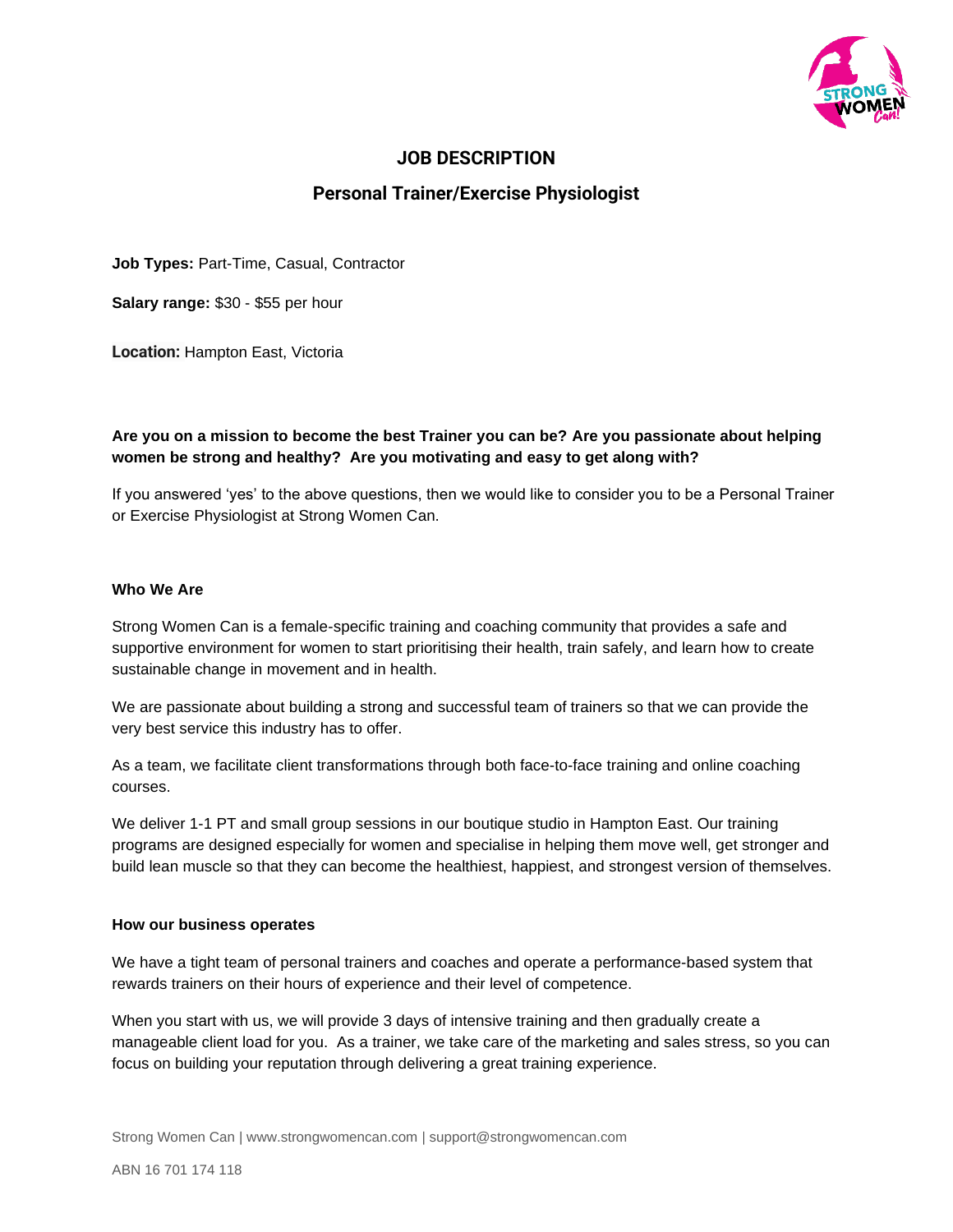

## **JOB DESCRIPTION**

# **Personal Trainer/Exercise Physiologist**

**Job Types:** Part-Time, Casual, Contractor

**Salary range:** \$30 - \$55 per hour

**Location:** Hampton East, Victoria

## **Are you on a mission to become the best Trainer you can be? Are you passionate about helping women be strong and healthy? Are you motivating and easy to get along with?**

If you answered 'yes' to the above questions, then we would like to consider you to be a Personal Trainer or Exercise Physiologist at Strong Women Can.

## **Who We Are**

Strong Women Can is a female-specific training and coaching community that provides a safe and supportive environment for women to start prioritising their health, train safely, and learn how to create sustainable change in movement and in health.

We are passionate about building a strong and successful team of trainers so that we can provide the very best service this industry has to offer.

As a team, we facilitate client transformations through both face-to-face training and online coaching courses.

We deliver 1-1 PT and small group sessions in our boutique studio in Hampton East. Our training programs are designed especially for women and specialise in helping them move well, get stronger and build lean muscle so that they can become the healthiest, happiest, and strongest version of themselves.

#### **How our business operates**

We have a tight team of personal trainers and coaches and operate a performance-based system that rewards trainers on their hours of experience and their level of competence.

When you start with us, we will provide 3 days of intensive training and then gradually create a manageable client load for you. As a trainer, we take care of the marketing and sales stress, so you can focus on building your reputation through delivering a great training experience.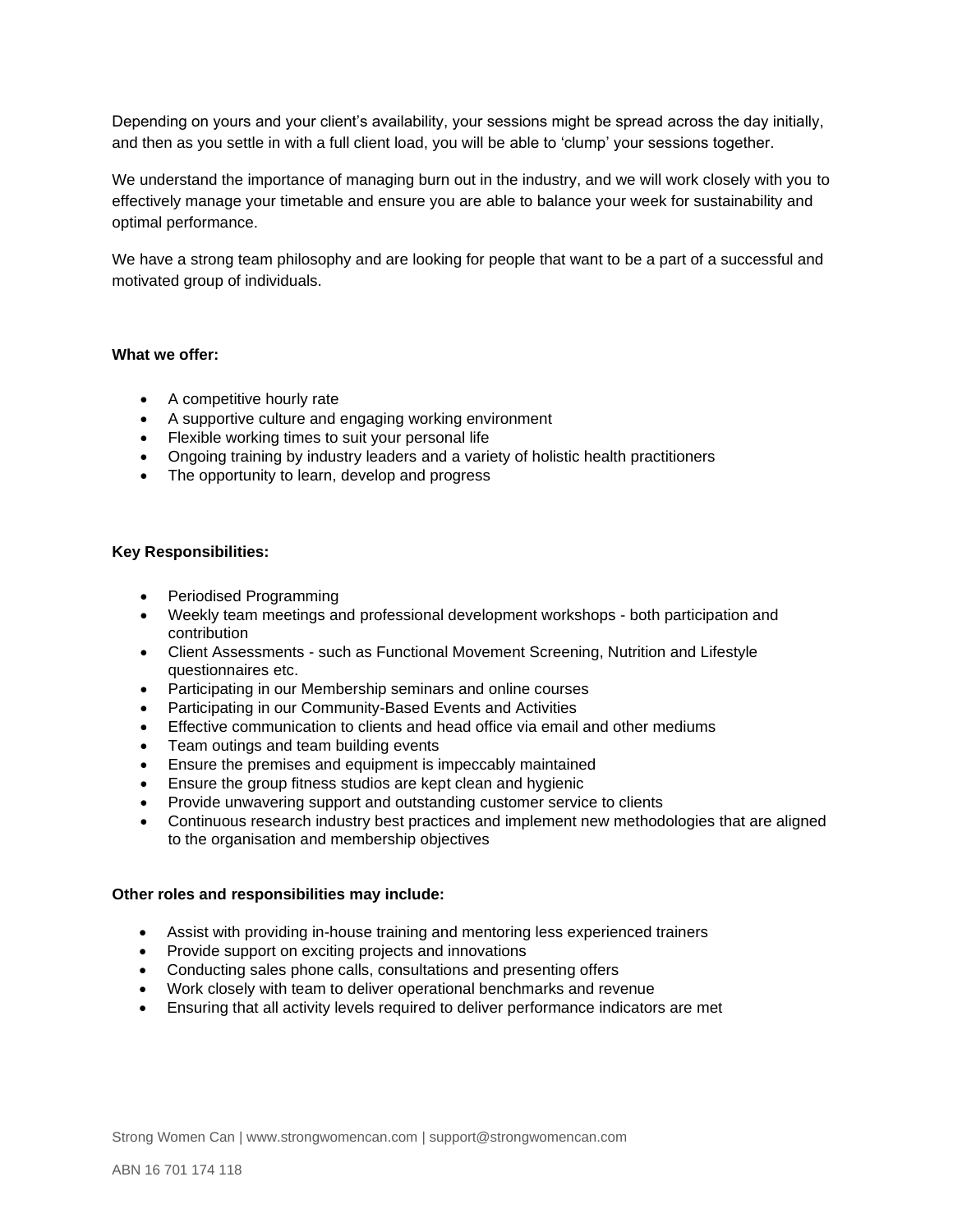Depending on yours and your client's availability, your sessions might be spread across the day initially, and then as you settle in with a full client load, you will be able to 'clump' your sessions together.

We understand the importance of managing burn out in the industry, and we will work closely with you to effectively manage your timetable and ensure you are able to balance your week for sustainability and optimal performance.

We have a strong team philosophy and are looking for people that want to be a part of a successful and motivated group of individuals.

## **What we offer:**

- A competitive hourly rate
- A supportive culture and engaging working environment
- Flexible working times to suit your personal life
- Ongoing training by industry leaders and a variety of holistic health practitioners
- The opportunity to learn, develop and progress

### **Key Responsibilities:**

- Periodised Programming
- Weekly team meetings and professional development workshops both participation and contribution
- Client Assessments such as Functional Movement Screening, Nutrition and Lifestyle questionnaires etc.
- Participating in our Membership seminars and online courses
- Participating in our Community-Based Events and Activities
- Effective communication to clients and head office via email and other mediums
- Team outings and team building events
- Ensure the premises and equipment is impeccably maintained
- Ensure the group fitness studios are kept clean and hygienic
- Provide unwavering support and outstanding customer service to clients
- Continuous research industry best practices and implement new methodologies that are aligned to the organisation and membership objectives

#### **Other roles and responsibilities may include:**

- Assist with providing in-house training and mentoring less experienced trainers
- Provide support on exciting projects and innovations
- Conducting sales phone calls, consultations and presenting offers
- Work closely with team to deliver operational benchmarks and revenue
- Ensuring that all activity levels required to deliver performance indicators are met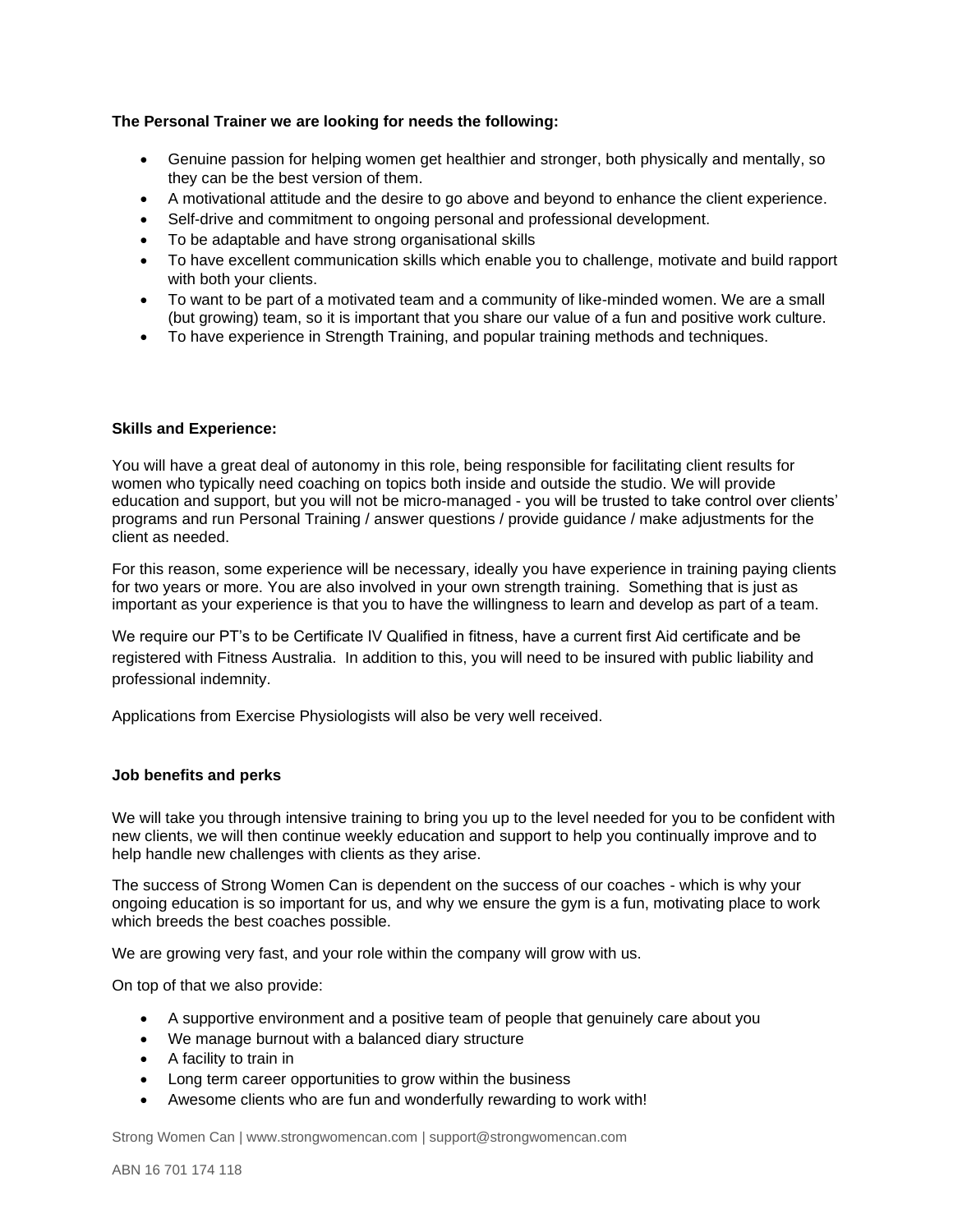## **The Personal Trainer we are looking for needs the following:**

- Genuine passion for helping women get healthier and stronger, both physically and mentally, so they can be the best version of them.
- A motivational attitude and the desire to go above and beyond to enhance the client experience.
- Self-drive and commitment to ongoing personal and professional development.
- To be adaptable and have strong organisational skills
- To have excellent communication skills which enable you to challenge, motivate and build rapport with both your clients.
- To want to be part of a motivated team and a community of like-minded women. We are a small (but growing) team, so it is important that you share our value of a fun and positive work culture.
- To have experience in Strength Training, and popular training methods and techniques.

#### **Skills and Experience:**

You will have a great deal of autonomy in this role, being responsible for facilitating client results for women who typically need coaching on topics both inside and outside the studio. We will provide education and support, but you will not be micro-managed - you will be trusted to take control over clients' programs and run Personal Training / answer questions / provide guidance / make adjustments for the client as needed.

For this reason, some experience will be necessary, ideally you have experience in training paying clients for two years or more. You are also involved in your own strength training. Something that is just as important as your experience is that you to have the willingness to learn and develop as part of a team.

We require our PT's to be Certificate IV Qualified in fitness, have a current first Aid certificate and be registered with Fitness Australia. In addition to this, you will need to be insured with public liability and professional indemnity.

Applications from Exercise Physiologists will also be very well received.

#### **Job benefits and perks**

We will take you through intensive training to bring you up to the level needed for you to be confident with new clients, we will then continue weekly education and support to help you continually improve and to help handle new challenges with clients as they arise.

The success of Strong Women Can is dependent on the success of our coaches - which is why your ongoing education is so important for us, and why we ensure the gym is a fun, motivating place to work which breeds the best coaches possible.

We are growing very fast, and your role within the company will grow with us.

On top of that we also provide:

- A supportive environment and a positive team of people that genuinely care about you
- We manage burnout with a balanced diary structure
- A facility to train in
- Long term career opportunities to grow within the business
- Awesome clients who are fun and wonderfully rewarding to work with!

Strong Women Can | www.strongwomencan.com | support@strongwomencan.com